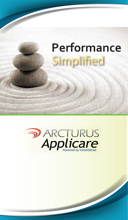# Simplified **Performance**

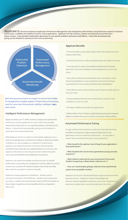Applicare is a Proactive Enterprise Application Performance Management suite designed by administrators and performance experts to improve performance, scalability and stability of mission-critical applications. Applicare not only monitors, analyzes and optimizes the performance<br>of your servers, it also provides timely advice about how to cure specific proble giving you the freedom to spend your time more productively.



Real-time processes leave no margin to recover from failure To manage these complex systems, IT teams have an increasing need for new tools that provide visibility, intelligent alryais and control.

#### Intelligent Performance Management

Applicare allows your IT staff to monitor, analyze and optimize the performance of your application & servers, and it also provides timely advice about how to cure specific problems and avoid costly failures. It does this all automatically, giving you the freedom to spend your time more productively.

With Applicare, there's no need to set thresholds. Applicare uses a built-in knowledge base and behavior profiling to determine which conditions can cause outages or a reduction in performance. Applicare can analyze thousands of matrices almost instantly, something that would take you significant time to do on your own. Applicare drills down to the transaction level in determining the root-cause and identifies the problematic transactions.

Applicare uses expert knowledge and best practices to identify performance issues with your configuration settings. With the click of a button you can kick-off a detailed analysis that would normally take weeks for an expert to achieve manually.

Applicare's unique approach of IntelliTrace - decides what to instrument and when, and IntelliSense - decides what transactions are rogue or outliers and automatically captures BTM level details on those, helps it keep the overhead significantly low compared to other tools.

### **Applicare Benefits**

 º Prevent problems and avoid outages rather than doing root cause analysis afterwards

º Get peak performance without spending days and nights on tuning

º Leverage built-in expert knowledge for lightning-fast problem detection and receive intelligent recommendations to resolve the issues

º Auto-detect performance bottlenecks, slow transactions, stuck thread and deadlocks in your production environment and get automated root cause analysis of performance degradation.

º Auto-detect memory leaks and the cause of memory leaks down to the exact code.

º Analyze detailed historical server information, even pre-crash conditions in case of a crash

º Get deep visibility into production applications

<sup>o</sup> Reduce Mean-Time-To-Repair significantly by getting the required details to resolve the issue on the first occurrence of the problem.

#### Automated Performance Tuning

A major problem that enterprises are facing is that extensive time and effort are required to align enterprise applications and application servers for optimum performance. Are you able to answer these essential performance tuning questions?

#### » What should be the optimum size of heap for your application's best performance?

» What should be the size of various generations (young, tenured, and perm) ?

» What collector works best for your environment (Concurrent, Parallel, Compacting or deterministic collectors etc..) ?

#### » How can I avoid lengthy garbage collection times and limit the pauses to an acceptable window?

Applicare can be your virtual performance expert and answer these questions for you. Applicare's inherent knowledge and decision-making capabilities transforms Java server tuning from an extremely complex task to one that entails just a few clicks.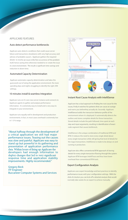# **APPLICARE FEATURES**

# Auto detect performance bottlenecks

Applicare auto-detects conditions that could cause server failure and transactions slowdowns with very high accuracy and advises of probable cause/s. Applicare gathers the required details to resolve an issue in the first occurrence of the problem itself, hence saving time otherwise needed to re-create the issue in a test environment. The result is significant time savings and reduction in down-time.

### Automated Capacity Determination

Applicare automates capacity determination and takes the guesswork out of sizing the application environment. No more spending days and nights struggling to identify the right JVM settings.

# 10 minutes install & seamless Integration

Applicare runs on it's own Java server instance and connects to Applicare agents to gather and analyze performance information. It is extremely easy to install and is very easy to integrate in your environment.

Applicare runs equally well in development and production environments. In fact, in most cases overhead is extremely low in 1-3 % range.

"About halfway through the development of a critical application we still had major performance issues. Teasing out the causes was slow and painful. Applicare was easy to stand up but powerful in its gathering and presentation of application performance data. Within hours of firing up Applicare the developers had enough information to deploy changes that led to very significant response time and application stability improvements. Highly recommended."

Gregory Beck ITF Engineer Buccaneer Computer Systems and Services



#### Instant Root Cause Analysis with IntelliSense

Applicare has a dual approach to finding the root cause for the issues, firstly it watches for patterns that can cause an outage and warns you beforethey actually do. Secondly Applicare IntelliSense builds the transaction behavior profile of the environment where it is deployed. It automatically detects the outliers and stores complete details for those transaction. Stored details include the path followed, time spent at each step and input arguments, resulting in identification of exact code segment that causes bottleneck.

IntelliSense is the unique combination of traditional APM and BTM. It reduces the need to store every single detail about every single transaction while still giving that level of details for the rogue transactions. IntelliSense is made to be always on and running in production.

Applicare also offers conventional BTM approach of storing details for every single transaction flowing through the system. Applicare BTM leverages IntelliTrace and thus have lower overhead than conventional BTM tools.

#### **Expert Configuration Analysis**

Applicare uses expert knowledge and best practices to identify performance issues with your configuration settings. With the click of a button you can kick-off a detailed analysis that would normally take weeks for an expert to achieve manually.